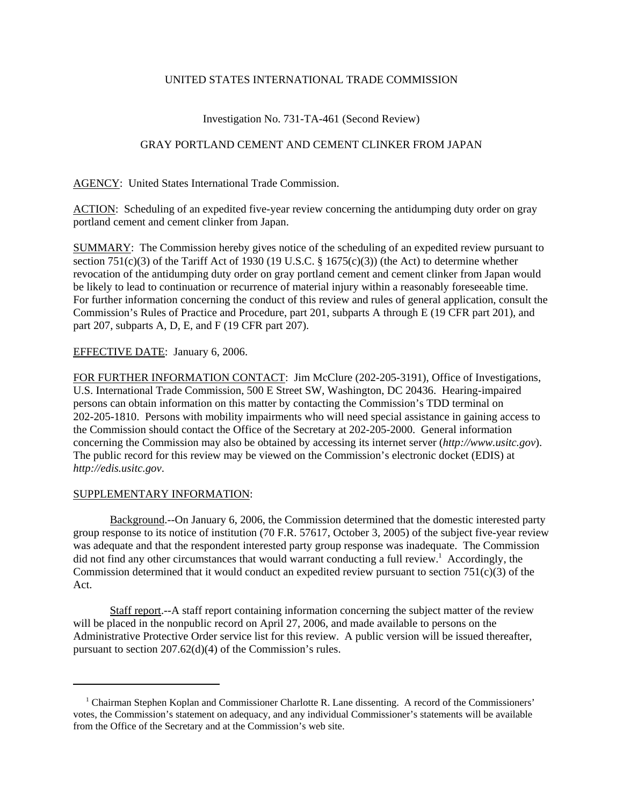## UNITED STATES INTERNATIONAL TRADE COMMISSION

# Investigation No. 731-TA-461 (Second Review)

## GRAY PORTLAND CEMENT AND CEMENT CLINKER FROM JAPAN

AGENCY: United States International Trade Commission.

ACTION: Scheduling of an expedited five-year review concerning the antidumping duty order on gray portland cement and cement clinker from Japan.

SUMMARY: The Commission hereby gives notice of the scheduling of an expedited review pursuant to section 751(c)(3) of the Tariff Act of 1930 (19 U.S.C. § 1675(c)(3)) (the Act) to determine whether revocation of the antidumping duty order on gray portland cement and cement clinker from Japan would be likely to lead to continuation or recurrence of material injury within a reasonably foreseeable time. For further information concerning the conduct of this review and rules of general application, consult the Commission's Rules of Practice and Procedure, part 201, subparts A through E (19 CFR part 201), and part 207, subparts A, D, E, and F (19 CFR part 207).

## EFFECTIVE DATE: January 6, 2006.

FOR FURTHER INFORMATION CONTACT: Jim McClure (202-205-3191), Office of Investigations, U.S. International Trade Commission, 500 E Street SW, Washington, DC 20436. Hearing-impaired persons can obtain information on this matter by contacting the Commission's TDD terminal on 202-205-1810. Persons with mobility impairments who will need special assistance in gaining access to the Commission should contact the Office of the Secretary at 202-205-2000. General information concerning the Commission may also be obtained by accessing its internet server (*http://www.usitc.gov*). The public record for this review may be viewed on the Commission's electronic docket (EDIS) at *http://edis.usitc.gov*.

#### SUPPLEMENTARY INFORMATION:

Background.--On January 6, 2006, the Commission determined that the domestic interested party group response to its notice of institution (70 F.R. 57617, October 3, 2005) of the subject five-year review was adequate and that the respondent interested party group response was inadequate. The Commission did not find any other circumstances that would warrant conducting a full review.<sup>1</sup> Accordingly, the Commission determined that it would conduct an expedited review pursuant to section  $751(c)(3)$  of the Act.

Staff report.--A staff report containing information concerning the subject matter of the review will be placed in the nonpublic record on April 27, 2006, and made available to persons on the Administrative Protective Order service list for this review. A public version will be issued thereafter, pursuant to section 207.62(d)(4) of the Commission's rules.

<sup>&</sup>lt;sup>1</sup> Chairman Stephen Koplan and Commissioner Charlotte R. Lane dissenting. A record of the Commissioners' votes, the Commission's statement on adequacy, and any individual Commissioner's statements will be available from the Office of the Secretary and at the Commission's web site.